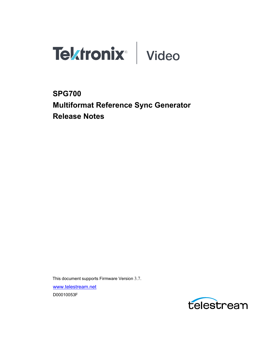



# **SPG700 Multiformat Reference Sync Generator Release Notes**

This document supports Firmware Version 3.7. [www.telestream.net](http://www.telestream.net/) D00010053F

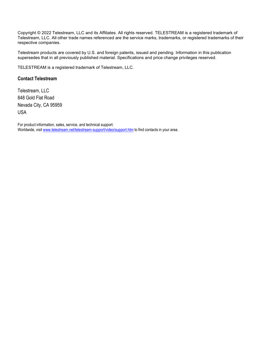Copyright © 2022 Telestream, LLC and its Affiliates. All rights reserved. TELESTREAM is a registered trademark of Telestream, LLC. All other trade names referenced are the service marks, trademarks, or registered trademarks of their respective companies.

Telestream products are covered by U.S. and foreign patents, issued and pending. Information in this publication supersedes that in all previously published material. Specifications and price change privileges reserved.

TELESTREAM is a registered trademark of Telestream, LLC.

### **Contact Telestream**

Telestream, LLC 848 Gold Flat Road Nevada City, CA 95959 USA

For product information, sales, service, and technical support: Worldwide, visit [www.telestream.net/telestream-support/video/support.htm](http://www.telestream.net/telestream-support/video/support.htm) to find contacts in your area.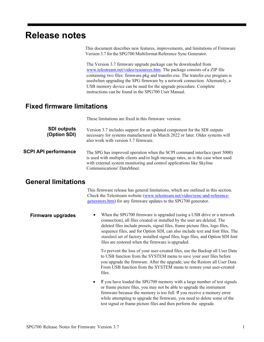# **Release notes**

This document describes new features, improvements, and limitations of Firmware Version 3.7 forthe SPG700 Multiformat Reference Sync Generator.

The Version 3.7 firmware upgrade package can be downloaded from [www.telestream.net/video/resources.htm. T](http://www.telestream.net/video/resources.htm)he package consists of a ZIP file containing two files: firmware.pkg and transfer.exe. The transfer.exe program is usedwhen upgrading the SPG firmware by a network connection. Alternately, a USB memory device can be used for the upgrade procedure. Complete instructions can be found in the SPG700 User Manual.

## **Fixed firmware limitations**

|                                    | These limitations are fixed in this firmware version:                                                                                                                                                                                                                  |
|------------------------------------|------------------------------------------------------------------------------------------------------------------------------------------------------------------------------------------------------------------------------------------------------------------------|
| <b>SDI outputs</b><br>(Option SDI) | Version 3.7 includes support for an updated component for the SDI outputs<br>necessary for systems manufactured in March 2022 or later. Older systems will<br>also work with version 3.7 firmware.                                                                     |
| <b>SCPI API performance</b>        | The SPG has improved operation when the SCPI command interface (port 5000)<br>is used with multiple clients and/or high message rates, as is the case when used<br>with external system monitoring and control applications like Skyline<br>Communications' DataMiner. |

## **General limitations**

This firmware release has general limitations, which are outlined in this section. Check the Telestream website [\(www.telestream.net/video/sync-and-reference](http://www.telestream.net/video/sync-and-reference-generators.htm)[generators.htm\)](http://www.telestream.net/video/sync-and-reference-generators.htm) for any firmware updates to the SPG700 generator.

**Firmware upgrades** • When the SPG700 firmware is upgraded (using a USB drive or a network connection), all files created or installed by the user are deleted. The deleted files include presets, signal files, frame picture files, logo files, sequence files, and for Option SDI, can also include text and font files. The standard set of factory installed signal files, logo files, and Option SDI font files are restored when the firmware is upgraded.

> To prevent the loss of your user-created files, use the Backup all User Data to USB function from the SYSTEM menu to save your user files before you upgrade the firmware. After the upgrade, use the Restore all User Data From USB function from the SYSTEM menu to restore your user-created files.

If you have loaded the SPG700 memory with a large number of test signals or frame picture files, you may not be able to upgrade the instrument firmware because the memory is too full. If you receive a memory error while attempting to upgrade the firmware, you need to delete some of the test signal or frame picture files and then perform the upgrade.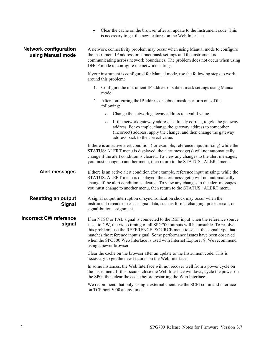| Clear the cache on the browser after an update to the Instrument code. This |
|-----------------------------------------------------------------------------|
| is necessary to get the new features on the Web Interface.                  |

#### **Network configuration using Manual mode**

A network connectivity problem may occur when using Manual mode to configure the instrument IP address or subnet mask settings and the instrument is communicating across network boundaries. The problem does not occur when using DHCP mode to configure the network settings.

If your instrument is configured for Manual mode, use the following steps to work around this problem:

- 1. Configure the instrument IP address or subnet mask settings using Manual mode.
- *2.* After configuring the IP address orsubnet mask, perform one of the following:
	- o Change the network gateway address to a valid value.
	- If the network gateway address is already correct, toggle the gateway address. For example, change the gateway address to someother (incorrect) address, apply the change, and then change the gateway address back to the correct value.

If there is an active alert condition (for example, reference input missing) while the STATUS: ALERT menu is displayed, the alert message(s) will not automatically change if the alert condition is cleared. To view any changes to the alert messages, you must change to another menu, then return to the STATUS : ALERT menu.

**Alert messages** If there is an active alert condition (for example, reference input missing) while the STATUS: ALERT menu is displayed, the alert message(s) will not automatically change if the alert condition is cleared. To view any changes to the alert messages, you must change to another menu, then return to the STATUS : ALERT menu.

#### **Resetting an output Signal** A signal output interruption or synchronization shock may occur when the instrument rereads or resets signal data, such as format changing, preset recall, or signal-button assignment.

**Incorrect CW reference signal** If an NTSC or PAL signal is connected to the REF input when the reference source is set to CW, the video timing of all SPG700 outputs will be unstable. To resolve this problem, use the REFERENCE: SOURCE menu to select the signal type that matches the reference input signal. Some performance issues have been observed when the SPG700 Web Interface is used with Internet Explorer 8. We recommend using a newer browser.

> Clear the cache on the browser after an update to the Instrument code. This is necessary to get the new features on the Web Interface.

In some instances, the Web Interface will not recover well from a power cycle on the instrument. If this occurs, close the Web Interface windows, cycle the power on the SPG, then clear the cache before restarting the Web Interface.

We recommend that only a single external client use the SCPI command interface on TCP port 5000 at any time.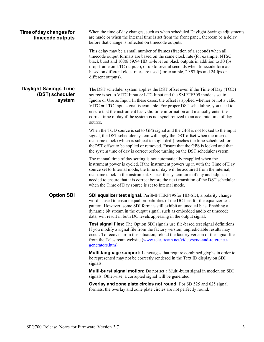| Time of day changes for<br>timecode outputs               | When the time of day changes, such as when scheduled Daylight Savings adjustments<br>are made or when the internal time is set from the front panel, therecan be a delay<br>before that change is reflected on timecode outputs.                                                                                                                                                                                                                                                                                  |
|-----------------------------------------------------------|-------------------------------------------------------------------------------------------------------------------------------------------------------------------------------------------------------------------------------------------------------------------------------------------------------------------------------------------------------------------------------------------------------------------------------------------------------------------------------------------------------------------|
|                                                           | This delay may be a small number of frames (fraction of a second) when all<br>timecode output formats are based on the same clock rate (for example, NTSC<br>black burst and 1080i 59.94 HD tri-level on black outputs in addition to 30 fps<br>drop-frame on LTC outputs), or up to several seconds when timecode formats<br>based on different clock rates are used (for example, 29.97 fps and 24 fps on<br>different outputs).                                                                                |
| <b>Daylight Savings Time</b><br>(DST) scheduler<br>system | The DST scheduler system applies the DST offset even if the Time of Day (TOD)<br>source is set to VITC Input or LTC Input and the SMPTE309 mode is set to<br>Ignore or Use as Input. In these cases, the offset is applied whether or not a valid<br>VITC or LTC Input signal is available. For proper DST scheduling, you need to<br>ensure that the instrument has valid time information and manually enter the<br>correct time of day if the system is not synchronized to an accurate time of day<br>source. |
|                                                           | When the TOD source is set to GPS signal and the GPS is not locked to the input<br>signal, the DST scheduler system will apply the DST offset when the internal<br>real-time clock (which is subject to slight drift) reaches the time scheduled for<br>the DST offset to be applied or removed. Ensure that the GPS is locked and that<br>the system time of day is correct before turning on the DST scheduler system.                                                                                          |
|                                                           | The manual time of day setting is not automatically reapplied when the<br>instrument power is cycled. If the instrument powers up in with the Time of Day<br>source set to Internal mode, the time of day will be acquired from the internal,<br>real-time clock in the instrument. Check the system time of day and adjust as<br>needed to ensure that it is correct before the next transition of the DST scheduler<br>when the Time of Day source is set to Internal mode.                                     |
| <b>Option SDI</b>                                         | <b>SDI equalizer test signal</b> : PerSMPTERP198for HD-SDI, a polarity change<br>word is used to ensure equal probabilities of the DC bias for the equalizer test<br>pattern. However, some SDI formats still exhibit an unequal bias. Enabling a<br>dynamic bit stream in the output signal, such as embedded audio or timecode<br>data, will result in both DC levels appearing in the output signal.                                                                                                           |
|                                                           | <b>Test signal files:</b> The Option SDI signals use file-based test signal definitions.<br>If you modify a signal file from the factory version, unpredictable results may<br>occur. To recover from this situation, reload the factory version of the signal file<br>from the Telestream website (www.telestream.net/video/sync-and-reference-<br>generators.htm).                                                                                                                                              |
|                                                           | <b>Multi-language support:</b> Languages that require combined glyphs in order to<br>be represented may not be correctly rendered in the Text ID display on SDI<br>signals.                                                                                                                                                                                                                                                                                                                                       |
|                                                           | Multi-burst signal motion: Do not set a Multi-burst signal in motion on SDI<br>signals. Otherwise, a corrupted signal will be generated.                                                                                                                                                                                                                                                                                                                                                                          |
|                                                           | Overlay and zone plate circles not round: For SD 525 and 625 signal<br>formats, the overlay and zone plate circles are not perfectly round.                                                                                                                                                                                                                                                                                                                                                                       |